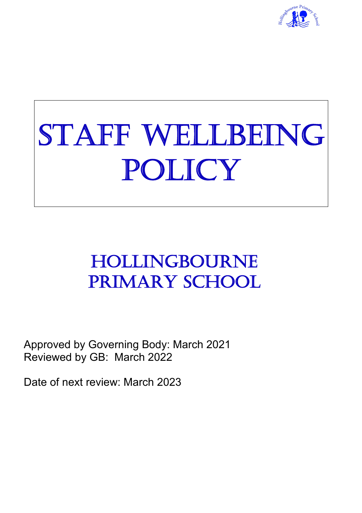

# STAFF WELLBEING POLICY

# HOLLINGBOURNE PRIMARY SCHOOL

Approved by Governing Body: March 2021 Reviewed by GB: March 2022

Date of next review: March 2023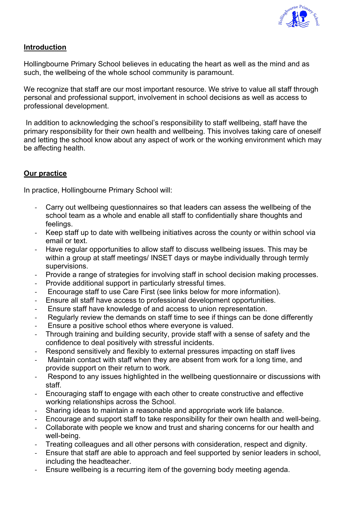

## **Introduction**

Hollingbourne Primary School believes in educating the heart as well as the mind and as such, the wellbeing of the whole school community is paramount.

We recognize that staff are our most important resource. We strive to value all staff through personal and professional support, involvement in school decisions as well as access to professional development.

In addition to acknowledging the school's responsibility to staff wellbeing, staff have the primary responsibility for their own health and wellbeing. This involves taking care of oneself and letting the school know about any aspect of work or the working environment which may be affecting health.

## **Our practice**

In practice, Hollingbourne Primary School will:

- Carry out wellbeing questionnaires so that leaders can assess the wellbeing of the school team as a whole and enable all staff to confidentially share thoughts and feelings.
- Keep staff up to date with wellbeing initiatives across the county or within school via email or text.
- Have regular opportunities to allow staff to discuss wellbeing issues. This may be within a group at staff meetings/ INSET days or maybe individually through termly supervisions.
- Provide a range of strategies for involving staff in school decision making processes.
- Provide additional support in particularly stressful times.
- Encourage staff to use Care First (see links below for more information).
- Ensure all staff have access to professional development opportunities.
- Ensure staff have knowledge of and access to union representation.
- Regularly review the demands on staff time to see if things can be done differently
- Ensure a positive school ethos where everyone is valued.
- Through training and building security, provide staff with a sense of safety and the confidence to deal positively with stressful incidents.
- Respond sensitively and flexibly to external pressures impacting on staff lives
- Maintain contact with staff when they are absent from work for a long time, and provide support on their return to work.
- Respond to any issues highlighted in the wellbeing questionnaire or discussions with staff.
- Encouraging staff to engage with each other to create constructive and effective working relationships across the School.
- Sharing ideas to maintain a reasonable and appropriate work life balance.
- Encourage and support staff to take responsibility for their own health and well-being.
- Collaborate with people we know and trust and sharing concerns for our health and well-being.
- Treating colleagues and all other persons with consideration, respect and dignity.
- Ensure that staff are able to approach and feel supported by senior leaders in school, including the headteacher.
- Ensure wellbeing is a recurring item of the governing body meeting agenda.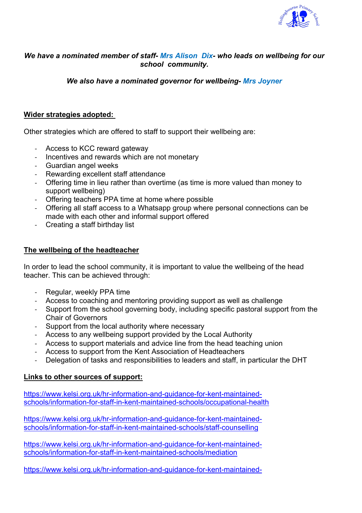

#### *We have a nominated member of staff- Mrs Alison Dix- who leads on wellbeing for our school community.*

*We also have a nominated governor for wellbeing- Mrs Joyner*

#### **Wider strategies adopted:**

Other strategies which are offered to staff to support their wellbeing are:

- Access to KCC reward gateway
- Incentives and rewards which are not monetary
- Guardian angel weeks
- Rewarding excellent staff attendance
- Offering time in lieu rather than overtime (as time is more valued than money to support wellbeing)
- Offering teachers PPA time at home where possible
- Offering all staff access to a Whatsapp group where personal connections can be made with each other and informal support offered
- Creating a staff birthday list

#### **The wellbeing of the headteacher**

In order to lead the school community, it is important to value the wellbeing of the head teacher. This can be achieved through:

- Regular, weekly PPA time
- Access to coaching and mentoring providing support as well as challenge
- Support from the school governing body, including specific pastoral support from the Chair of Governors
- Support from the local authority where necessary
- Access to any wellbeing support provided by the Local Authority
- Access to support materials and advice line from the head teaching union
- Access to support from the Kent Association of Headteachers
- Delegation of tasks and responsibilities to leaders and staff, in particular the DHT

#### **Links to other sources of support:**

https://www.kelsi.org.uk/hr-information-and-guidance-for-kent-maintainedschools/information-for-staff-in-kent-maintained-schools/occupational-health

https://www.kelsi.org.uk/hr-information-and-guidance-for-kent-maintainedschools/information-for-staff-in-kent-maintained-schools/staff-counselling

https://www.kelsi.org.uk/hr-information-and-guidance-for-kent-maintainedschools/information-for-staff-in-kent-maintained-schools/mediation

https://www.kelsi.org.uk/hr-information-and-guidance-for-kent-maintained-